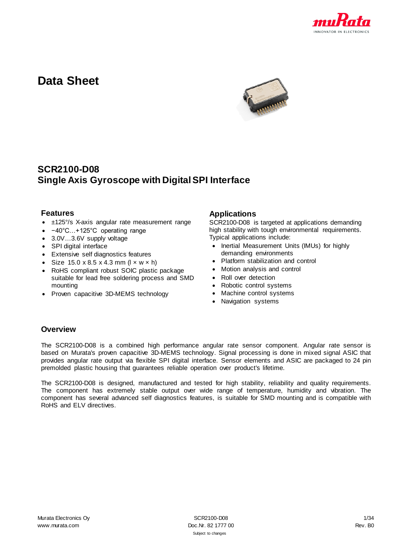

# **Data Sheet**



# **SCR2100-D08 Single Axis Gyroscope with Digital SPI Interface**

### **Features**

- ±125°/s X-axis angular rate measurement range
- −40°C…+125°C operating range
- 3.0V...3.6V supply voltage
- SPI digital interface
- Extensive self diagnostics features
- Size  $15.0 \times 8.5 \times 4.3$  mm ( $\vert \times \text{w} \times \text{h} \rangle$
- RoHS compliant robust SOIC plastic package suitable for lead free soldering process and SMD mounting
- Proven capacitive 3D-MEMS technology

### **Applications**

SCR2100-D08 is targeted at applications demanding high stability with tough environmental requirements. Typical applications include:

- Inertial Measurement Units (IMUs) for highly demanding environments
- Platform stabilization and control
- Motion analysis and control
- Roll over detection
- Robotic control systems
- Machine control systems
- Navigation systems

### **Overview**

The SCR2100-D08 is a combined high performance angular rate sensor component. Angular rate sensor is based on Murata's proven capacitive 3D-MEMS technology. Signal processing is done in mixed signal ASIC that provides angular rate output via flexible SPI digital interface. Sensor elements and ASIC are packaged to 24 pin premolded plastic housing that guarantees reliable operation over product's lifetime.

The SCR2100-D08 is designed, manufactured and tested for high stability, reliability and quality requirements. The component has extremely stable output over wide range of temperature, humidity and vibration. The component has several advanced self diagnostics features, is suitable for SMD mounting and is compatible with RoHS and ELV directives.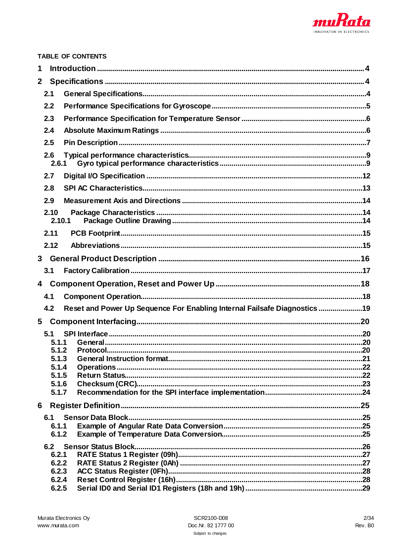

|                |                | <b>TABLE OF CONTENTS</b>                                                  |  |
|----------------|----------------|---------------------------------------------------------------------------|--|
| 1              |                |                                                                           |  |
|                |                |                                                                           |  |
|                | 2.1            |                                                                           |  |
|                | 2.2            |                                                                           |  |
|                | 2.3            |                                                                           |  |
|                | 2.4            |                                                                           |  |
|                | 2.5            |                                                                           |  |
|                | 2.6<br>2.6.1   |                                                                           |  |
|                | 2.7            |                                                                           |  |
|                | 2.8            |                                                                           |  |
|                | 2.9            |                                                                           |  |
|                | 2.10<br>2.10.1 |                                                                           |  |
|                | 2.11           |                                                                           |  |
|                | 2.12           |                                                                           |  |
| 3 <sup>1</sup> |                |                                                                           |  |
|                | 3.1            |                                                                           |  |
| 4              |                |                                                                           |  |
|                | 4.1            |                                                                           |  |
|                | 4.2            | Reset and Power Up Sequence For Enabling Internal Failsafe Diagnostics 19 |  |
| 5 <sub>5</sub> |                |                                                                           |  |
|                | 5.1            |                                                                           |  |
|                | 5.1.1          |                                                                           |  |
|                | 5.1.2          |                                                                           |  |
|                | 5.1.3          |                                                                           |  |
|                | 5.1.4<br>5.1.5 |                                                                           |  |
|                | 5.1.6          |                                                                           |  |
|                | 5.1.7          |                                                                           |  |
| 6              |                |                                                                           |  |
|                | 6.1            |                                                                           |  |
|                | 6.1.1          |                                                                           |  |
|                | 6.1.2          |                                                                           |  |
|                | 6.2            |                                                                           |  |
|                | 6.2.1          |                                                                           |  |
|                |                |                                                                           |  |
|                | 6.2.2          |                                                                           |  |
|                | 6.2.3<br>6.2.4 |                                                                           |  |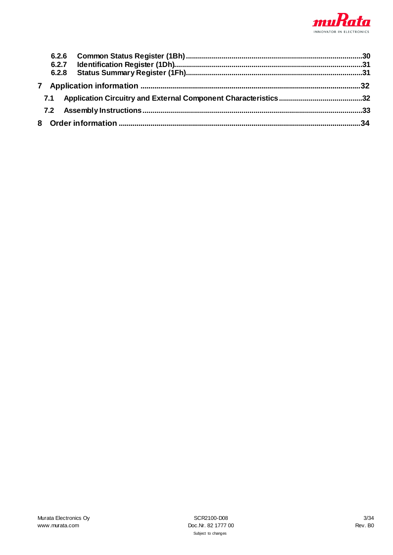

| 7.1 |  |
|-----|--|
|     |  |
|     |  |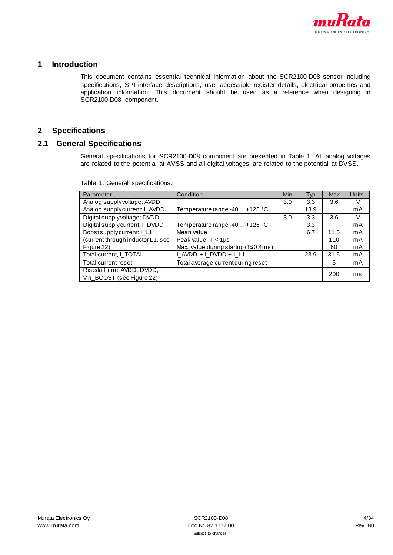

### <span id="page-3-0"></span>**1 Introduction**

This document contains essential technical information about the SCR2100-D08 sensor including specifications, SPI interface descriptions, user accessible register details, electrical properties and application information. This document should be used as a reference when designing in SCR2100-D08 component.

### <span id="page-3-1"></span>**2 Specifications**

### <span id="page-3-3"></span><span id="page-3-2"></span>**2.1 General Specifications**

General specifications for SCR2100-D08 component are presented in [Table 1.](#page-3-3) All analog voltages are related to the potential at AVSS and all digital voltages are related to the potential at DVSS.

| Parameter                                                | Condition                           | Min | Typ  | Max  | Units |
|----------------------------------------------------------|-------------------------------------|-----|------|------|-------|
| Analog supply voltage: AVDD                              |                                     | 3.0 | 3.3  | 3.6  | V     |
| Analog supplycurrent: I_AVDD                             | Temperature range -40  +125 °C      |     | 13.9 |      | mA    |
| Digital supply voltage: DVDD                             |                                     | 3.0 | 3.3  | 3.6  | V     |
| Digital supplycurrent: I_DVDD                            | Temperature range -40  +125 °C      |     | 3.3  |      | mA    |
| Boostsupplycurrent: I_L1                                 | Mean value                          |     | 6.7  | 11.5 | mA    |
| (current through inductor L1, see                        | Peak value, $T < 1 \mu s$           |     |      | 110  | mA    |
| Figure 22)                                               | Max. value during startup (T≤0.4ms) |     |      | 60   | mA    |
| Total current, I_TOTAL                                   | $LMDD + LDVDD + L1$                 |     | 23.9 | 31.5 | mA    |
| Total current reset                                      | Total average current during reset  |     |      | 5    | mA    |
| Rise/fall time: AVDD, DVDD,<br>Vin_BOOST (see Figure 22) |                                     |     |      | 200  | ms    |

Table 1. General specifications.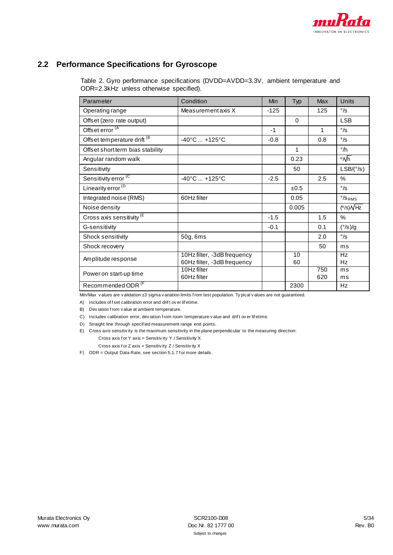

# <span id="page-4-0"></span>**2.2 Performance Specifications for Gyroscope**

Table 2. Gyro performance specifications (DVDD=AVDD=3.3V, ambient temperature and ODR=2.3kHz unless otherwise specified).

| Parameter                        | Condition                                                  | Min    | Typ      | Max        | <b>Units</b>                          |
|----------------------------------|------------------------------------------------------------|--------|----------|------------|---------------------------------------|
| Operating range                  | Measurement axis X                                         | $-125$ |          | 125        | $\degree$ /s                          |
| Offset (zero rate output)        |                                                            |        | $\Omega$ |            | <b>LSB</b>                            |
| Offset error (A                  |                                                            | $-1$   |          | 1          | $\degree$ /s                          |
| Offset temperature drift (B)     | $-40^{\circ}$ C  +125 $^{\circ}$ C                         | $-0.8$ |          | 0.8        | $\degree$ /s                          |
| Offset short term bias stability |                                                            |        | 1        |            | $\degree$ /h                          |
| Angular random walk              |                                                            |        | 0.23     |            | ∘∧⁄h                                  |
| Sensitivity                      |                                                            |        | 50       |            | $LSB/({}^\circ\!/s)$                  |
| Sensitivity error (C             | $-40^{\circ}$ C  +125°C                                    | $-2.5$ |          | 2.5        | %                                     |
| Linearity error <sup>(D</sup>    |                                                            |        | ±0.5     |            | $\degree$ /s                          |
| Integrated noise (RMS)           | 60Hz filter                                                |        | 0.05     |            | $\degree$ /SRMS                       |
| Noise density                    |                                                            |        | 0.005    |            | $(^{\circ}/\text{s})\sqrt{\text{Hz}}$ |
| Cross axis sensitivity (E        |                                                            | $-1.5$ |          | 1.5        | %                                     |
| G-sensitivity                    |                                                            | $-0.1$ |          | 0.1        | (°/s)/g                               |
| Shock sensitivity                | 50g, 6ms                                                   |        |          | 2.0        | $\degree$ /s                          |
| Shock recovery                   |                                                            |        |          | 50         | ms                                    |
| Amplitude response               | 10Hz filter, -3dB frequency<br>60Hz filter, -3dB frequency |        | 10<br>60 |            | Hz<br>Hz                              |
| Power on start-up time           | 10Hz filter<br>60Hz filter                                 |        |          | 750<br>620 | ms<br>ms                              |
| Recommended ODR <sup>(F</sup>    |                                                            |        | 2300     |            | Hz                                    |

Min/Max v alues are v alidation ±3 sigma v ariation limits f rom test population. Ty pical v alues are not guaranteed.

A) Includes of f set calibration error and drif t ov er lif etime.

B) Dev iation f rom v alue at ambient temperature.

C) Includes calibration error, dev iation f rom room temperature v alue and drif t ov er lif etime.

D) Straight line through specif ied measurement range end points.

E) Cross axis sensitiv ity is the maximum sensitivity in the plane perpendicular to the measuring direction: Cross axis f or Y axis = Sensitivity Y / Sensitivity X

Cross axis f or  $Z$  axis = Sensitiv ity  $Z/$  Sensitiv ity  $X$ 

F) ODR = Output Data Rate, see sectio[n 5.1.7](#page-23-0) for more details.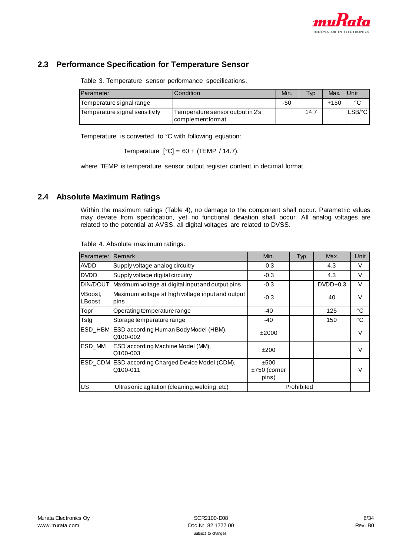

# <span id="page-5-0"></span>**2.3 Performance Specification for Temperature Sensor**

Table 3. Temperature sensor performance specifications.

| Parameter                      | Condition                                             | Min. | <b>Typ</b> | Max.   | <b>IUnit</b> |
|--------------------------------|-------------------------------------------------------|------|------------|--------|--------------|
| Temperature signal range       |                                                       | -50  |            | $+150$ | $\sim$       |
| Temperature signal sensitivity | Temperature sensor output in 2's<br>complement format |      | 14.7       |        | $LSB$ /°C    |

Temperature is converted to °C with following equation:

Temperature  $[°C] = 60 + (TEMP / 14.7)$ ,

where TEMP is temperature sensor output register content in decimal format.

### <span id="page-5-2"></span><span id="page-5-1"></span>**2.4 Absolute Maximum Ratings**

Within the maximum ratings [\(Table 4\)](#page-5-2), no damage to the component shall occur. Parametric values may deviate from specification, yet no functional deviation shall occur. All analog voltages are related to the potential at AVSS, all digital voltages are related to DVSS.

| Parameter         | Remark                                                        | Min.                            | Typ        | Max.       | Unit          |
|-------------------|---------------------------------------------------------------|---------------------------------|------------|------------|---------------|
| <b>AVDD</b>       | Supply voltage analog circuitry                               | $-0.3$                          |            | 4.3        | v             |
| <b>DVDD</b>       | Supply voltage digital circuitry                              | $-0.3$                          |            | 4.3        | V             |
| <b>DIN/DOUT</b>   | Maximum voltage at digital input and output pins              | $-0.3$                          |            | $DVDD+0.3$ | V             |
| VBoost,<br>LBoost | Maximum voltage at high voltage input and output<br>pins      | $-0.3$                          |            | 40         | $\vee$        |
| Topr              | Operating temperature range                                   | $-40$                           |            | 125        | °C            |
| Tstg              | Storage temperature range                                     | -40                             |            | 150        | °C            |
| <b>ESD HBM</b>    | ESD according Human Body Model (HBM),<br>Q100-002             | ±2000                           |            |            |               |
| ESD_MM            | ESD according Machine Model (MM),<br>Q100-003                 | ±200                            |            |            | $\mathcal{L}$ |
|                   | ESD_CDM ESD according Charged Device Model (CDM),<br>Q100-011 | ±500<br>$±750$ (corner<br>pins) |            |            |               |
| <b>US</b>         | Ultrasonic agitation (cleaning, welding, etc)                 |                                 | Prohibited |            |               |

Table 4. Absolute maximum ratings.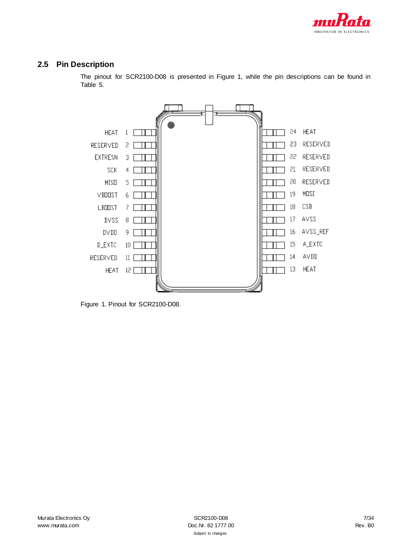

# <span id="page-6-0"></span>**2.5 Pin Description**

The pinout for SCR2100-D08 is presented in [Figure 1,](#page-6-1) while the pin descriptions can be found in [Table 5.](#page-7-0)



<span id="page-6-1"></span>Figure 1. Pinout for SCR2100-D08.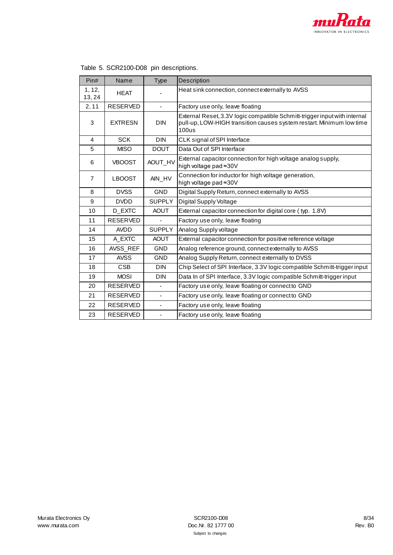

Ì.

| Pin#             | Name            | Type                     | Description                                                                                                                                                |
|------------------|-----------------|--------------------------|------------------------------------------------------------------------------------------------------------------------------------------------------------|
| 1, 12,<br>13, 24 | <b>HEAT</b>     |                          | Heat sink connection, connect externally to AVSS                                                                                                           |
| 2, 11            | <b>RESERVED</b> | ٠                        | Factory use only, leave floating                                                                                                                           |
| 3                | <b>EXTRESN</b>  | <b>DIN</b>               | External Reset, 3.3V logic compatible Schmitt-trigger input with internal<br>pull-up, LOW-HIGH transition causes system restart. Minimum low time<br>100us |
| 4                | <b>SCK</b>      | <b>DIN</b>               | CLK signal of SPI Interface                                                                                                                                |
| 5                | <b>MISO</b>     | <b>DOUT</b>              | Data Out of SPI Interface                                                                                                                                  |
| 6                | <b>VBOOST</b>   | AOUT_HV                  | External capacitor connection for high voltage analog supply,<br>high voltage pad ≈30V                                                                     |
| $\overline{7}$   | <b>LBOOST</b>   | AIN_HV                   | Connection for inductor for high voltage generation,<br>high voltage pad ≈30V                                                                              |
| 8                | <b>DVSS</b>     | <b>GND</b>               | Digital Supply Return, connect externally to AVSS                                                                                                          |
| 9                | <b>DVDD</b>     | <b>SUPPLY</b>            | <b>Digital Supply Voltage</b>                                                                                                                              |
| 10               | D_EXTC          | <b>AOUT</b>              | External capacitor connection for digital core (typ. 1.8V)                                                                                                 |
| 11               | <b>RESERVED</b> | ٠                        | Factory use only, leave floating                                                                                                                           |
| 14               | <b>AVDD</b>     | <b>SUPPLY</b>            | Analog Supply voltage                                                                                                                                      |
| 15               | A_EXTC          | <b>AOUT</b>              | External capacitor connection for positive reference voltage                                                                                               |
| 16               | AVSS_REF        | <b>GND</b>               | Analog reference ground, connect externally to AVSS                                                                                                        |
| 17               | <b>AVSS</b>     | <b>GND</b>               | Analog Supply Return, connect externally to DVSS                                                                                                           |
| 18               | <b>CSB</b>      | <b>DIN</b>               | Chip Select of SPI Interface, 3.3V logic compatible Schmitt-trigger input                                                                                  |
| 19               | <b>MOSI</b>     | <b>DIN</b>               | Data In of SPI Interface, 3.3V logic compatible Schmitt-trigger input                                                                                      |
| 20               | <b>RESERVED</b> | ÷.                       | Factory use only, leave floating or connect to GND                                                                                                         |
| 21               | <b>RESERVED</b> | $\blacksquare$           | Factory use only, leave floating or connect to GND                                                                                                         |
| 22               | <b>RESERVED</b> | ä,                       | Factory use only, leave floating                                                                                                                           |
| 23               | <b>RESERVED</b> | $\overline{\phantom{0}}$ | Factory use only, leave floating                                                                                                                           |

<span id="page-7-0"></span>

| Table 5. SCR2100-D08 pin descriptions. |  |  |
|----------------------------------------|--|--|
|----------------------------------------|--|--|

r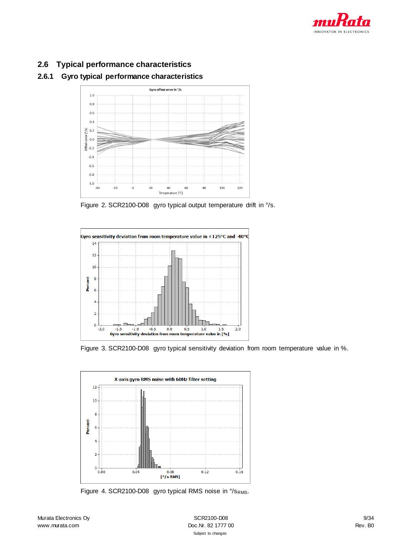

# <span id="page-8-0"></span>**2.6 Typical performance characteristics**

### <span id="page-8-1"></span>**2.6.1 Gyro typical performance characteristics**



Figure 2. SCR2100-D08 gyro typical output temperature drift in °/s.



Figure 3. SCR2100-D08 gyro typical sensitivity deviation from room temperature value in %.



Figure 4. SCR2100-D08 gyro typical RMS noise in °/sRMS.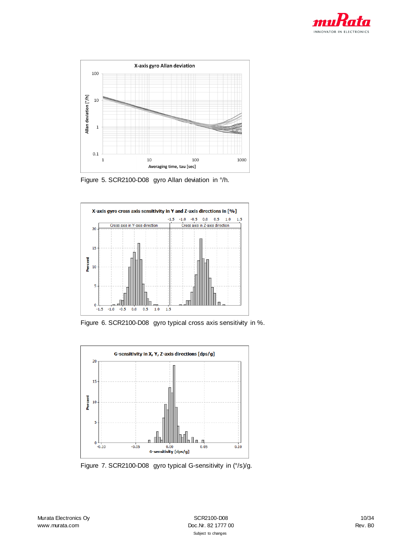



Figure 5. SCR2100-D08 gyro Allan deviation in °/h.



Figure 6. SCR2100-D08 gyro typical cross axis sensitivity in %.



Figure 7. SCR2100-D08 gyro typical G-sensitivity in (°/s)/g.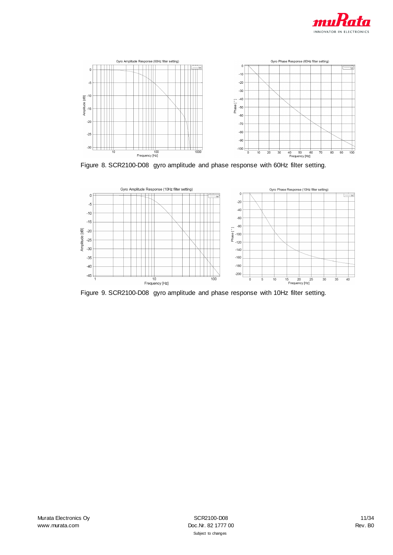



Figure 8. SCR2100-D08 gyro amplitude and phase response with 60Hz filter setting.



Figure 9. SCR2100-D08 gyro amplitude and phase response with 10Hz filter setting.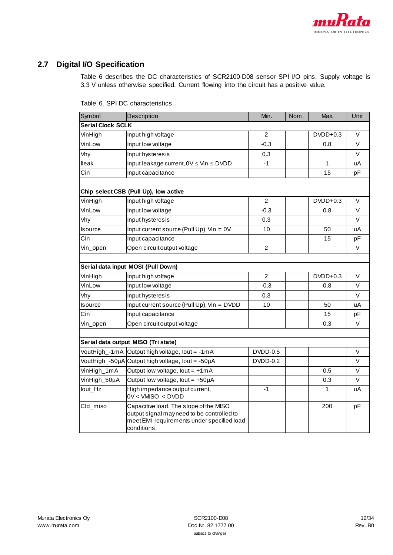

# <span id="page-11-1"></span><span id="page-11-0"></span>**2.7 Digital I/O Specification**

[Table 6](#page-11-1) describes the DC characteristics of SCR2100-D08 sensor SPI I/O pins. Supply voltage is 3.3 V unless otherwise specified. Current flowing into the circuit has a positive value.

| Symbol                   | Description                                                                                                                                      | Min.           | Nom. | Max.       | Unit   |
|--------------------------|--------------------------------------------------------------------------------------------------------------------------------------------------|----------------|------|------------|--------|
| <b>Serial Clock SCLK</b> |                                                                                                                                                  |                |      |            |        |
| VinHigh                  | Input high voltage                                                                                                                               | $\overline{2}$ |      | $DVDD+0.3$ | $\vee$ |
| VinLow                   | Input low voltage                                                                                                                                | $-0.3$         |      | 0.8        | V      |
| Vhy                      | Input hysteresis                                                                                                                                 | 0.3            |      |            | V      |
| lleak                    | Input leakage current, $0V \leq V \cdot \text{in} \leq DVDD$                                                                                     | $-1$           |      | 1          | uA     |
| Cin                      | Input capacitance                                                                                                                                |                |      | 15         | pF     |
|                          |                                                                                                                                                  |                |      |            |        |
|                          | Chip select CSB (Pull Up), low active                                                                                                            |                |      |            |        |
| VinHigh                  | Input high voltage                                                                                                                               | 2              |      | $DVDD+0.3$ | V      |
| VinLow                   | Input low voltage                                                                                                                                | $-0.3$         |      | 0.8        | V      |
| Vhy                      | Input hysteresis                                                                                                                                 | 0.3            |      |            | V      |
| Isource                  | Input current source (Pull Up), $V_{in} = 0V$                                                                                                    | 10             |      | 50         | uA     |
| Cin                      | Input capacitance                                                                                                                                |                |      | 15         | pF     |
| Vin_open                 | Open circuit output voltage                                                                                                                      | $\overline{2}$ |      |            | V      |
|                          |                                                                                                                                                  |                |      |            |        |
|                          | Serial data input MOSI (Pull Down)                                                                                                               |                |      |            |        |
| VinHigh                  | Input high voltage                                                                                                                               | 2              |      | $DVDD+0.3$ | V      |
| VinLow                   | Input low voltage                                                                                                                                | $-0.3$         |      | 0.8        | $\vee$ |
| Vhy                      | Input hysteresis                                                                                                                                 | 0.3            |      |            | V      |
| Isource                  | Input current source (Pull Up), Vin = DVDD                                                                                                       | 10             |      | 50         | uA     |
| Cin                      | Input capacitance                                                                                                                                |                |      | 15         | pF     |
| Vin_open                 | Open circuit output voltage                                                                                                                      |                |      | 0.3        | V      |
|                          |                                                                                                                                                  |                |      |            |        |
|                          | Serial data output MISO (Tri state)                                                                                                              |                |      |            |        |
|                          | VoutHigh_-1mA Output high voltage, lout = -1mA                                                                                                   | DVDD-0.5       |      |            | V      |
|                          | VoutHigh_-50µA Output high voltage, lout = -50µA                                                                                                 | DVDD-0.2       |      |            | V      |
| VinHigh_1mA              | Output low voltage, lout = $+1mA$                                                                                                                |                |      | 0.5        | V      |
| VinHigh_50µA             | Output low voltage, lout = $+50\mu A$                                                                                                            |                |      | 0.3        | $\vee$ |
| lout_Hz                  | High impedance output current,<br>$0V <$ VMISO $<$ DVDD                                                                                          | $-1$           |      | 1          | uA     |
| Cld_miso                 | Capacitive load. The slope of the MISO<br>output signal mayneed to be controlled to<br>meet EMI requirements under specified load<br>conditions. |                |      | 200        | pF     |

Table 6. SPI DC characteristics.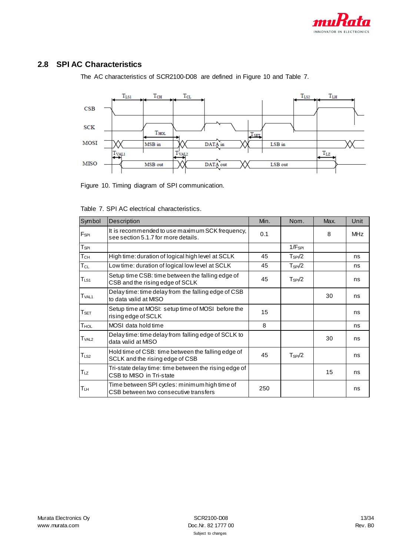

# <span id="page-12-0"></span>**2.8 SPI AC Characteristics**

The AC characteristics of SCR2100-D08 are defined i[n Figure 10](#page-12-1) and [Table 7.](#page-12-2)



<span id="page-12-1"></span>Figure 10. Timing diagram of SPI communication.

| Symbol                      | Description                                                                            | Min. | Nom.        | Max. | Unit       |
|-----------------------------|----------------------------------------------------------------------------------------|------|-------------|------|------------|
| F <sub>SPI</sub>            | It is recommended to use maximum SCK frequency,<br>see section 5.1.7 for more details. | 0.1  |             | 8    | <b>MHz</b> |
| $T_{SPI}$                   |                                                                                        |      | $1/F_{SPI}$ |      |            |
| Тсн                         | High time: duration of logical high level at SCLK                                      | 45   | $T_{SPI}/2$ |      | ns         |
| $T_{CL}$                    | Low time: duration of logical low level at SCLK                                        | 45   | $T_{SPI}/2$ |      | ns         |
| $T_{LS1}$                   | Setup time CSB: time between the falling edge of<br>CSB and the rising edge of SCLK    | 45   | $T_{SPI}/2$ |      | ns         |
| T <sub>VAL1</sub>           | Delay time: time delay from the falling edge of CSB<br>to data valid at MISO           |      |             | 30   | ns         |
| $\mathsf{T}_{\mathsf{SET}}$ | Setup time at MOSI: setup time of MOSI before the<br>rising edge of SCLK               | 15   |             |      | ns         |
| $T_{\sf HOL}$               | MOSI data hold time                                                                    | 8    |             |      | ns         |
| T <sub>VAL2</sub>           | Delay time: time delay from falling edge of SCLK to<br>data valid at MISO              |      |             | 30   | ns         |
| $T_{LS2}$                   | Hold time of CSB: time between the falling edge of<br>SCLK and the rising edge of CSB  | 45   | $T_{SPI}/2$ |      | ns         |
| $T_{LZ}$                    | Tri-state delay time: time between the rising edge of<br>CSB to MISO in Tri-state      |      |             | 15   | ns         |
| Тин                         | Time between SPI cycles: minimum high time of<br>CSB between two consecutive transfers | 250  |             |      | ns         |

<span id="page-12-2"></span>Table 7. SPI AC electrical characteristics.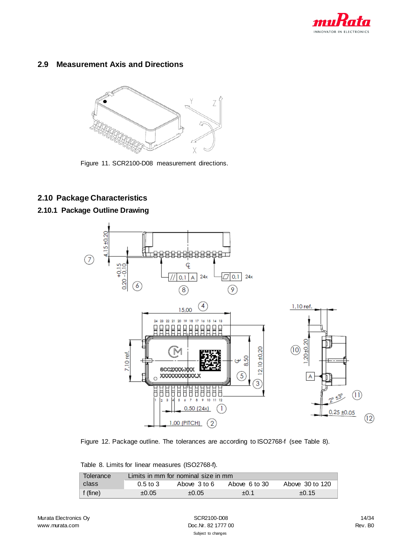

# <span id="page-13-0"></span>**2.9 Measurement Axis and Directions**



Figure 11. SCR2100-D08 measurement directions.

# <span id="page-13-1"></span>**2.10 Package Characteristics**

## <span id="page-13-2"></span>**2.10.1 Package Outline Drawing**





<span id="page-13-3"></span>Table 8. Limits for linear measures (ISO2768-f).

| Tolerance |              | Limits in mm for nominal size in mm |               |                 |
|-----------|--------------|-------------------------------------|---------------|-----------------|
| ∣ class   | $0.5$ to $3$ | Above 3 to 6                        | Above 6 to 30 | Above 30 to 120 |
| ∣f (fine) | ±0.05        | ±0.05                               | $+0.1$        | ±0.15           |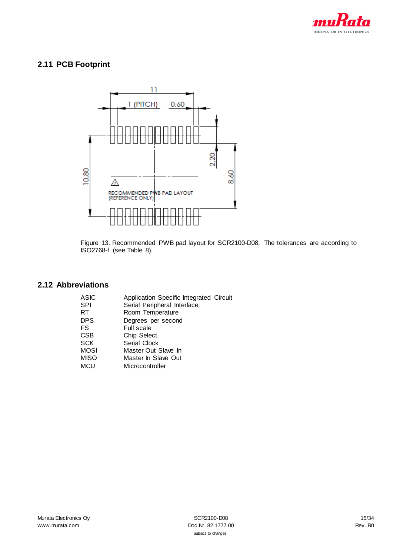

# <span id="page-14-0"></span>**2.11 PCB Footprint**



Figure 13. Recommended PWB pad layout for SCR2100-D08. The tolerances are according to ISO2768-f (see [Table 8\)](#page-13-3).

# <span id="page-14-1"></span>**2.12 Abbreviations**

| ASIC | Application Specific Integrated Circuit |
|------|-----------------------------------------|
| SPI  | Serial Peripheral Interface             |
| RT   | Room Temperature                        |
| DPS. | Degrees per second                      |
| FS   | <b>Full scale</b>                       |
| CSB  | <b>Chip Select</b>                      |
| SCK  | Serial Clock                            |
| MOSI | Master Out Slave In                     |
| MISO | Master In Slave Out                     |
| MCU  | Microcontroller                         |
|      |                                         |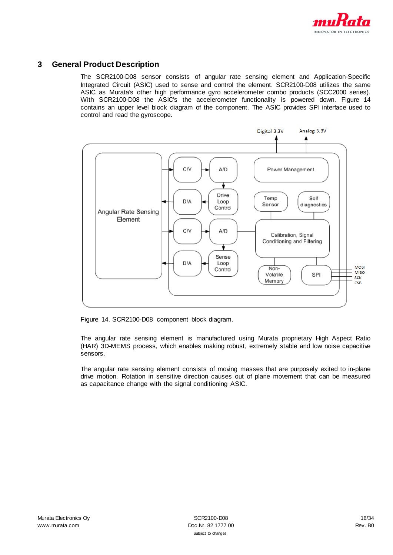

### <span id="page-15-0"></span>**3 General Product Description**

The SCR2100-D08 sensor consists of angular rate sensing element and Application-Specific Integrated Circuit (ASIC) used to sense and control the element. SCR2100-D08 utilizes the same ASIC as Murata's other high performance gyro accelerometer combo products (SCC2000 series). With SCR2100-D08 the ASIC's the accelerometer functionality is powered down. [Figure 14](#page-15-1) contains an upper level block diagram of the component. The ASIC provides SPI interface used to control and read the gyroscope.



<span id="page-15-1"></span>Figure 14. SCR2100-D08 component block diagram.

The angular rate sensing element is manufactured using Murata proprietary High Aspect Ratio (HAR) 3D-MEMS process, which enables making robust, extremely stable and low noise capacitive sensors.

The angular rate sensing element consists of moving masses that are purposely exited to in-plane drive motion. Rotation in sensitive direction causes out of plane movement that can be measured as capacitance change with the signal conditioning ASIC.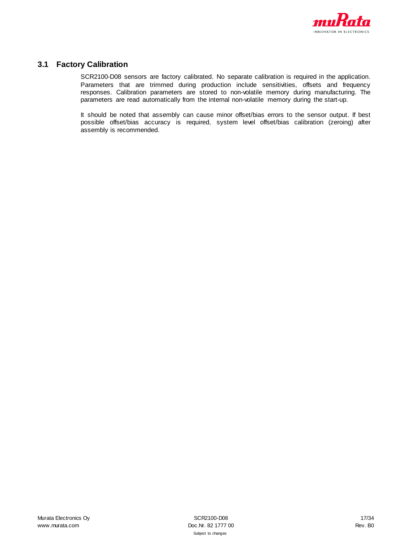

# <span id="page-16-0"></span>**3.1 Factory Calibration**

SCR2100-D08 sensors are factory calibrated. No separate calibration is required in the application. Parameters that are trimmed during production include sensitivities, offsets and frequency responses. Calibration parameters are stored to non-volatile memory during manufacturing. The parameters are read automatically from the internal non-volatile memory during the start-up.

It should be noted that assembly can cause minor offset/bias errors to the sensor output. If best possible offset/bias accuracy is required, system level offset/bias calibration (zeroing) after assembly is recommended.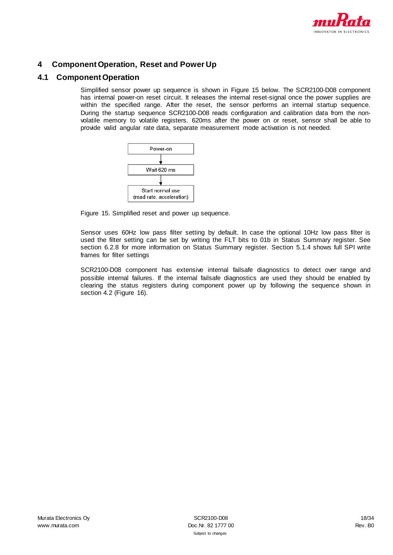

# <span id="page-17-0"></span>**4 Component Operation, Reset and Power Up**

### <span id="page-17-1"></span>**4.1 Component Operation**

Simplified sensor power up sequence is shown i[n Figure 15](#page-17-2) below. The SCR2100-D08 component has internal power-on reset circuit. It releases the internal reset-signal once the power supplies are within the specified range. After the reset, the sensor performs an internal startup sequence. During the startup sequence SCR2100-D08 reads configuration and calibration data from the nonvolatile memory to volatile registers. 620ms after the power on or reset, sensor shall be able to provide valid angular rate data, separate measurement mode activation is not needed.



<span id="page-17-2"></span>Figure 15. Simplified reset and power up sequence.

Sensor uses 60Hz low pass filter setting by default. In case the optional 10Hz low pass filter is used the filter setting can be set by writing the FLT bits to 01b in Status Summary register. See section [6.2.8](#page-30-1) for more information on Status Summary register. Sectio[n 5.1.4](#page-21-0) shows full SPI write frames for filter settings

SCR2100-D08 component has extensive internal failsafe diagnostics to detect over range and possible internal failures. If the internal failsafe diagnostics are used they should be enabled by clearing the status registers during component power up by following the sequence shown in section [4.2](#page-18-0) [\(Figure 16\)](#page-18-1).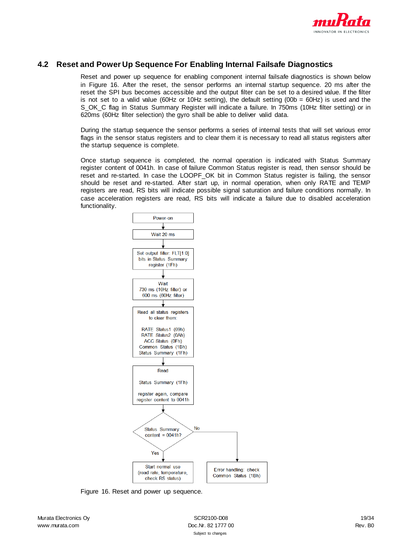

### <span id="page-18-0"></span>**4.2 Reset and Power Up Sequence For Enabling Internal Failsafe Diagnostics**

Reset and power up sequence for enabling component internal failsafe diagnostics is shown below in [Figure 16.](#page-18-1) After the reset, the sensor performs an internal startup sequence. 20 ms after the reset the SPI bus becomes accessible and the output filter can be set to a desired value. If the filter is not set to a valid value (60Hz or 10Hz setting), the default setting (00b =  $60$ Hz) is used and the S\_OK\_C flag in Status Summary Register will indicate a failure. In 750ms (10Hz filter setting) or in 620ms (60Hz filter selection) the gyro shall be able to deliver valid data.

During the startup sequence the sensor performs a series of internal tests that will set various error flags in the sensor status registers and to clear them it is necessary to read all status registers after the startup sequence is complete.

Once startup sequence is completed, the normal operation is indicated with Status Summary register content of 0041h. In case of failure Common Status register is read, then sensor should be reset and re-started. In case the LOOPF OK bit in Common Status register is failing, the sensor should be reset and re-started. After start up, in normal operation, when only RATE and TEMP registers are read, RS bits will indicate possible signal saturation and failure conditions normally. In case acceleration registers are read, RS bits will indicate a failure due to disabled acceleration functionality.



Figure 16. Reset and power up sequence.

<span id="page-18-1"></span>Murata Electronics Ov **SCR2100-D08** 19/34 www.murata.com Rev. B0 and Doc.Nr. 82 1777 00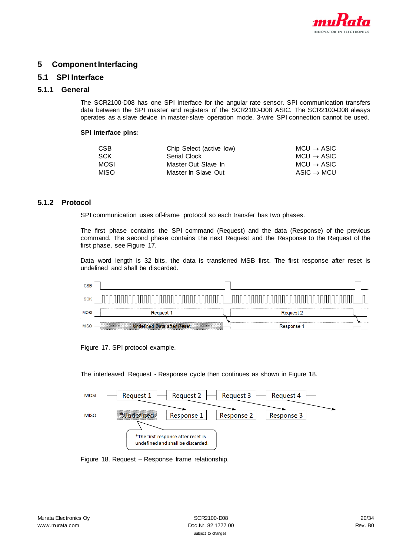

## <span id="page-19-0"></span>**5 Component Interfacing**

### <span id="page-19-1"></span>**5.1 SPI Interface**

#### <span id="page-19-2"></span>**5.1.1 General**

The SCR2100-D08 has one SPI interface for the angular rate sensor. SPI communication transfers data between the SPI master and registers of the SCR2100-D08 ASIC. The SCR2100-D08 always operates as a slave device in master-slave operation mode. 3-wire SPI connection cannot be used.

#### **SPI interface pins:**

| CSB        | Chip Select (active low) | $MCU \rightarrow ASIC$ |
|------------|--------------------------|------------------------|
| <b>SCK</b> | Serial Clock             | $MCU \rightarrow ASIC$ |
| MOSL       | Master Out Slave In      | $MCU \rightarrow ASIC$ |
| MISO.      | Master In Slave Out      | $ASIC \rightarrow MCU$ |

#### <span id="page-19-3"></span>**5.1.2 Protocol**

SPI communication uses off-frame protocol so each transfer has two phases.

The first phase contains the SPI command (Request) and the data (Response) of the previous command. The second phase contains the next Request and the Response to the Request of the first phase, see [Figure 17.](#page-19-4)

Data word length is 32 bits, the data is transferred MSB first. The first response after reset is undefined and shall be discarded.

| <b>CSB</b>  |                                   |                                                      |  |
|-------------|-----------------------------------|------------------------------------------------------|--|
| <b>SCK</b>  |                                   |                                                      |  |
| <b>MOSI</b> | <b>Request 1</b>                  | <br><b>Request 2</b>                                 |  |
| <b>MISO</b> | <b>Undefined Data after Reset</b> | <br>----------------------------------<br>Response 1 |  |

<span id="page-19-4"></span>Figure 17. SPI protocol example.

The interleaved Request - Response cycle then continues as shown i[n Figure 18.](#page-19-5)

| <b>MOSI</b> | Request 1<br><b>Request 2</b><br>Request 3<br>Request 4                 |  |
|-------------|-------------------------------------------------------------------------|--|
| <b>MISO</b> | Undefined<br>Response 2<br>Response 3<br>Response 1                     |  |
|             |                                                                         |  |
|             | *The first response after reset is<br>undefined and shall be discarded. |  |

<span id="page-19-5"></span>Figure 18. Request – Response frame relationship.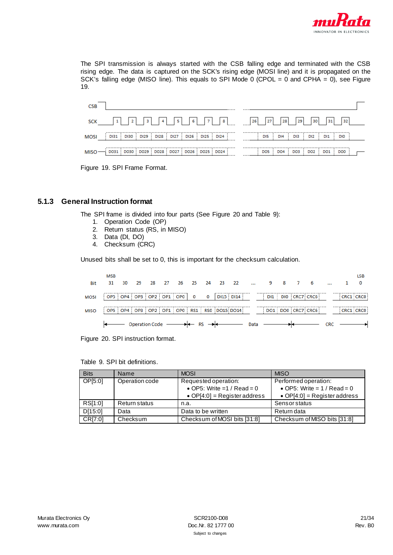

The SPI transmission is always started with the CSB falling edge and terminated with the CSB rising edge. The data is captured on the SCK's rising edge (MOSI line) and it is propagated on the SCK's falling edge (MISO line). This equals to SPI Mode 0 (CPOL = 0 and CPHA = 0), see Figure [19.](#page-20-1)

| <b>CSB</b> |                                                                             |                            |
|------------|-----------------------------------------------------------------------------|----------------------------|
|            | SCK $\begin{bmatrix} 1 & 2 & 3 & 4 & 5 & 6 & 7 & 8 & 26 & 27 \end{bmatrix}$ | 29<br>30<br>28<br>32<br>31 |
|            | MOSI DI31 DI30 DI29 DI28 DI27 DI26 DI25 DI24                                | DI3 DI2 DI1 DI0<br>DI5 DI4 |
|            | $MISO$ $\rightarrow$ 0031   0030   0029   0028   0027   0026   0025   0024  | DO5 DO4 DO3 DO2 DO1 DO0    |

Figure 19. SPI Frame Format.

### <span id="page-20-1"></span><span id="page-20-0"></span>**5.1.3 General Instruction format**

The SPI frame is divided into four parts (See [Figure 20](#page-20-2) and [Table 9\)](#page-20-3):

- 1. Operation Code (OP)
- 2. Return status (RS, in MISO)
- 3. Data (DI, DO)
- 4. Checksum (CRC)

Unused bits shall be set to 0, this is important for the checksum calculation.

| <b>Bit</b>  | <b>MSB</b><br>31        | 30 | 29                    | 28 | 27 | 26 25 24 |                  |             | 23 | 22                                                          | $\ddotsc$ | 987 |  |                   |            |           | LSB |
|-------------|-------------------------|----|-----------------------|----|----|----------|------------------|-------------|----|-------------------------------------------------------------|-----------|-----|--|-------------------|------------|-----------|-----|
| <b>MOSI</b> | OP5 OP4 OP3 OP2 OP1 OP0 |    |                       |    |    |          |                  | $\mathbf 0$ |    | DI15 DI14                                                   |           |     |  | DI1 DI0 CRC7 CRC6 |            | CRC1 CRC0 |     |
| MISO        |                         |    |                       |    |    |          |                  |             |    | OP5   OP4   OP3   OP2   OP1   OP0   RS1   RS0   DO15   DO14 |           |     |  | DO1 DO0 CRC7 CRC6 |            | CRC1 CRC0 |     |
|             |                         |    | <b>Operation Code</b> |    |    |          | $\rightarrow$ RS |             |    |                                                             | Data      |     |  |                   | <b>CRC</b> |           |     |

<span id="page-20-2"></span>Figure 20. SPI instruction format.

<span id="page-20-3"></span>

|  |  |  |  | Table 9. SPI bit definitions. |
|--|--|--|--|-------------------------------|
|--|--|--|--|-------------------------------|

| <b>Bits</b> | Name           | <b>MOSI</b>                   | <b>MISO</b>                   |
|-------------|----------------|-------------------------------|-------------------------------|
| OP[5:0]     | Operation code | Requested operation:          | Performed operation:          |
|             |                | • OP5: Write = $1 /$ Read = 0 | • OP5: Write = $1 /$ Read = 0 |
|             |                | • OP[4:0] = Register address  | • OP[4:0] = Register address  |
| RS[1:0]     | Return status  | n.a.                          | <b>Sensor status</b>          |
| D[15:0]     | Data           | Data to be written            | Return data                   |
| CR[7:0]     | Checksum       | Checksum of MOSI bits [31:8]  | Checksum of MISO bits [31:8]  |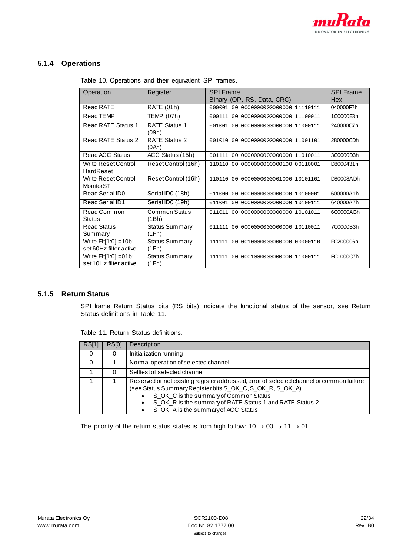

# <span id="page-21-3"></span><span id="page-21-0"></span>**5.1.4 Operations**

| Operation                                         | Register                       | <b>SPI Frame</b><br>Binary (OP, RS, Data, CRC) | <b>SPI Frame</b><br>Hex |
|---------------------------------------------------|--------------------------------|------------------------------------------------|-------------------------|
| Read RATE                                         | <b>RATE (01h)</b>              | 000001 00 0000000000000000 11110111            | 040000F7h               |
| Read TEMP                                         | <b>TEMP (07h)</b>              | 000111 00 0000000000000000 11100011            | 1C0000E3h               |
| <b>Read RATE Status 1</b>                         | <b>RATE Status 1</b><br>(09h)  | 001001 00 0000000000000000 11000111            | 240000C7h               |
| Read RATE Status 2                                | <b>RATE Status 2</b><br>(0Ah)  | 001010 00 0000000000000000 11001101            | 280000CDh               |
| <b>Read ACC Status</b>                            | ACC Status (15h)               | 001111 00 0000000000000000 11010011            | 3C0000D3h               |
| Write Reset Control<br>HardReset                  | Reset Control (16h)            | 110110 00 0000000000000100 00110001            | D8000431h               |
| Write Reset Control<br>MonitorST                  | Reset Control (16h)            | 110110 00 0000000000001000 10101101            | D80008ADh               |
| Read Serial ID0                                   | Serial ID0 (18h)               | 011000 00 0000000000000000 10100001            | 600000A1h               |
| Read Serial ID1                                   | Serial ID0 (19h)               | 011001 00 0000000000000000 10100111            | 640000A7h               |
| Read Common<br><b>Status</b>                      | <b>Common Status</b><br>(1Bh)  | 011011 00 0000000000000000 10101011            | 6C0000ABh               |
| <b>Read Status</b><br>Summary                     | <b>Status Summary</b><br>(1Fh) | 011111 00 0000000000000000 10110011            | 7C0000B3h               |
| Write $F1[1:0] = 10b$ :<br>set 60Hz filter active | <b>Status Summary</b><br>(1Fh) | 111111 00 0010000000000000 00000110            | FC200006h               |
| Write $F1[1:0] = 01b$ :<br>set 10Hz filter active | <b>Status Summary</b><br>(1Fh) | 111111 00 00010000000000000 11000111           | FC1000C7h               |

Table 10. Operations and their equivalent SPI frames.

## <span id="page-21-2"></span><span id="page-21-1"></span>**5.1.5 Return Status**

SPI frame Return Status bits (RS bits) indicate the functional status of the sensor, see Return Status definitions in [Table 11.](#page-21-2)

| RS[1] | RS <sub>[0]</sub> | <b>Description</b>                                                                                                                                                                                                                                                                                                                |
|-------|-------------------|-----------------------------------------------------------------------------------------------------------------------------------------------------------------------------------------------------------------------------------------------------------------------------------------------------------------------------------|
| O     | $\Omega$          | Initialization running                                                                                                                                                                                                                                                                                                            |
|       |                   | Normal operation of selected channel                                                                                                                                                                                                                                                                                              |
|       | 0                 | Selftest of selected channel                                                                                                                                                                                                                                                                                                      |
|       |                   | Reserved or not existing register addressed, error of selected channel or common failure<br>(see Status Summary Register bits S_OK_C, S_OK_R, S_OK_A)<br>S OK C is the summary of Common Status<br>$\bullet$<br>S_OK_R is the summary of RATE Status 1 and RATE Status 2<br>$\bullet$<br>S_OK_A is the summary of ACC Status<br>٠ |

Table 11. Return Status definitions.

The priority of the return status states is from high to low:  $10 \rightarrow 00 \rightarrow 11 \rightarrow 01$ .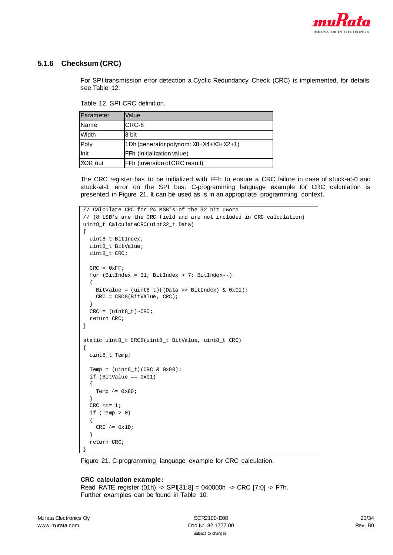

### <span id="page-22-1"></span><span id="page-22-0"></span>**5.1.6 Checksum (CRC)**

For SPI transmission error detection a Cyclic Redundancy Check (CRC) is implemented, for details see [Table 12.](#page-22-1)

Table 12. SPI CRC definition.

| Parameter   | Value                                  |
|-------------|----------------------------------------|
| <b>Name</b> | CRC-8                                  |
| Width       | 8 bit                                  |
| Poly        | 1Dh (generator polynom: X8+X4+X3+X2+1) |
| Init        | FFh (initialization value)             |
| XOR out     | FFh (inversion of CRC result)          |

The CRC register has to be initialized with FFh to ensure a CRC failure in case of stuck-at-0 and stuck-at-1 error on the SPI bus. C-programming language example for CRC calculation is presented i[n Figure 21.](#page-22-2) It can be used as is in an appropriate programming context.

```
// Calculate CRC for 24 MSB's of the 32 bit dword
// (8 LSB's are the CRC field and are not included in CRC calculation)
uint8_t CalculateCRC(uint32_t Data)
\left\{ \right.uint8 t BitIndex;
  uint8_t BitValue;
  uint8_t CRC;
 CRC = 0xFF; for (BitIndex = 31; BitIndex > 7; BitIndex--)
  \{ BitValue = (uint8_t)((Data >> BitIndex) & 0x01);
   CRC = CRC8(BitValue, CRC); }
  CRC = (uint8_t)~CRC; return CRC;
}
static uint8_t CRC8(uint8_t BitValue, uint8_t CRC)
{
  uint8_t Temp;
  Temp = (uint8_t)(CRC & 0x80); if (BitValue == 0x01)
   {
    Temp \sim = 0x80;
   }
  CRC <<= 1; if (Temp > 0)
   {
    CRC \sim 0x1D;
   }
   return CRC;
}
```
<span id="page-22-2"></span>Figure 21. C-programming language example for CRC calculation.

#### **CRC calculation example:**

Read RATE register (01h) -> SPI[31:8] = 040000h -> CRC [7:0] -> F7h. Further examples can be found in [Table 10.](#page-21-3)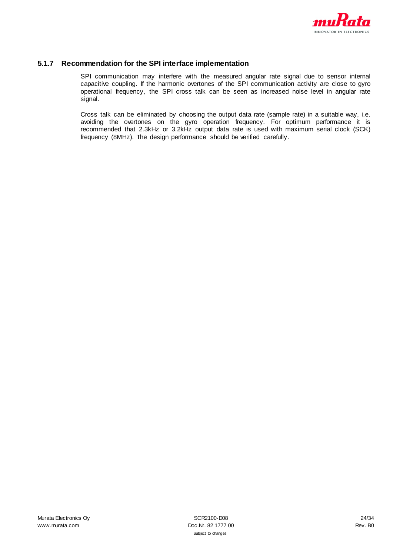

### <span id="page-23-0"></span>**5.1.7 Recommendation for the SPI interface implementation**

SPI communication may interfere with the measured angular rate signal due to sensor internal capacitive coupling. If the harmonic overtones of the SPI communication activity are close to gyro operational frequency, the SPI cross talk can be seen as increased noise level in angular rate signal.

Cross talk can be eliminated by choosing the output data rate (sample rate) in a suitable way, i.e. avoiding the overtones on the gyro operation frequency. For optimum performance it is recommended that 2.3kHz or 3.2kHz output data rate is used with maximum serial clock (SCK) frequency (8MHz). The design performance should be verified carefully.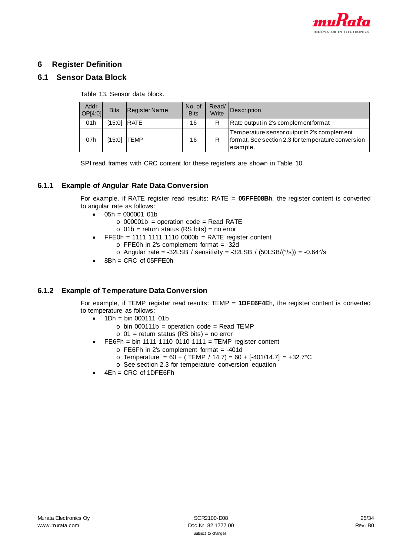

# <span id="page-24-0"></span>**6 Register Definition**

# <span id="page-24-1"></span>**6.1 Sensor Data Block**

Table 13. Sensor data block.

| Addr<br>OP[4:0] | <b>Bits</b>        | Register Name | No. of<br><b>Bits</b> | Read/<br>Write | Description                                                                                                   |
|-----------------|--------------------|---------------|-----------------------|----------------|---------------------------------------------------------------------------------------------------------------|
| 01h             |                    | [15:0] RATE   | 16                    | R              | Rate output in 2's complement format                                                                          |
| 07h             | [15:0] <b>TEMP</b> |               | 16                    |                | Temperature sensor output in 2's complement<br>format. See section 2.3 for temperature conversion<br>example. |

SPI read frames with CRC content for these registers are shown in [Table 10.](#page-21-3)

### <span id="page-24-2"></span>**6.1.1 Example of Angular Rate Data Conversion**

For example, if RATE register read results: RATE = **05FFE08B**h, the register content is converted to angular rate as follows:

- $\bullet$  05h = 000001 01b
	- $\circ$  000001b = operation code = Read RATE
	- $\circ$  01b = return status (RS bits) = no error
- $FEOh = 1111 1111 1110 0000b = RATE$  register content
	- $\circ$  FFE0h in 2's complement format = -32d
	- $\circ$  Angular rate = -32LSB / sensitivity = -32LSB / (50LSB/( $\degree$ /s)) = -0.64 $\degree$ /s
- $8Bh = CRC$  of 05 $FFE0h$

### <span id="page-24-3"></span>**6.1.2 Example of Temperature Data Conversion**

For example, if TEMP register read results: TEMP = **1DFE6F4E**h, the register content is converted to temperature as follows:

- $1Dh = bin 000111 01b$ 
	- $\circ$  bin 000111b = operation code = Read TEMP
	- $\circ$  01 = return status (RS bits) = no error
- FE6Fh = bin 1111 1110 0110 1111 = TEMP register content
	- $\circ$  FE6Fh in 2's complement format = -401d
	- o Temperature = 60 + ( TEMP / 14.7) = 60 + [-401/14.7] = +32.7°C
	- o See section [2.3](#page-5-0) for temperature conversion equation
- $4Eh = CRC$  of 1DFE6Fh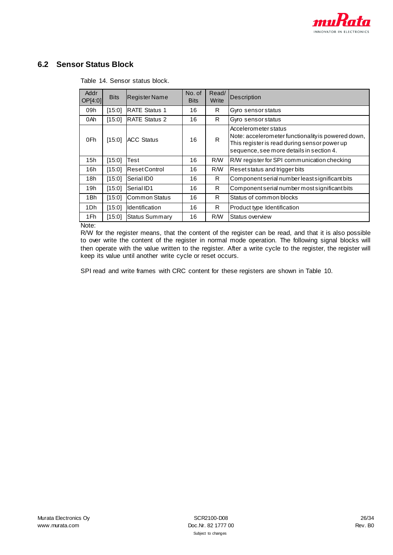

# <span id="page-25-0"></span>**6.2 Sensor Status Block**

| Addr<br>OP[4:0] | <b>Bits</b> | Register Name         | No. of<br><b>Bits</b> | Read/<br>Write | <b>Description</b>                                                                                                                                                     |
|-----------------|-------------|-----------------------|-----------------------|----------------|------------------------------------------------------------------------------------------------------------------------------------------------------------------------|
| 09h             | [15:0]      | <b>IRATE Status 1</b> | 16                    | R.             | Gyro sensor status                                                                                                                                                     |
| 0Ah             | [15:0]      | <b>RATE Status 2</b>  | 16                    | R.             | Gyro sensor status                                                                                                                                                     |
| 0Fh             | [15:0]      | <b>IACC Status</b>    | 16                    | R              | Accelerometer status<br>Note: accelerometer functionality is powered down,<br>This register is read during sensor power up<br>sequence, see more details in section 4. |
| 15h             | [15:0]      | Test                  | 16                    | R/W            | R/W register for SPI communication checking                                                                                                                            |
| 16h             | [15:0]      | <b>Reset Control</b>  | 16                    | R/W            | Reset status and trigger bits                                                                                                                                          |
| 18h             | [15:0]      | Serial ID0            | 16                    | R.             | Component serial number least significant bits                                                                                                                         |
| 19h             | [15:0]      | Serial ID1            | 16                    | R.             | Component serial number most significant bits                                                                                                                          |
| 1Bh             | [15:0]      | Common Status         | 16                    | R              | Status of common blocks                                                                                                                                                |
| 1Dh             | [15:0]      | Identification        | 16                    | R.             | Product type Identification                                                                                                                                            |
| 1Fh             | [15:0]      | <b>Status Summary</b> | 16                    | R/W            | Status overview                                                                                                                                                        |

Table 14. Sensor status block.

Note:

R/W for the register means, that the content of the register can be read, and that it is also possible to over write the content of the register in normal mode operation. The following signal blocks will then operate with the value written to the register. After a write cycle to the register, the register will keep its value until another write cycle or reset occurs.

SPI read and write frames with CRC content for these registers are shown in [Table 10.](#page-21-3)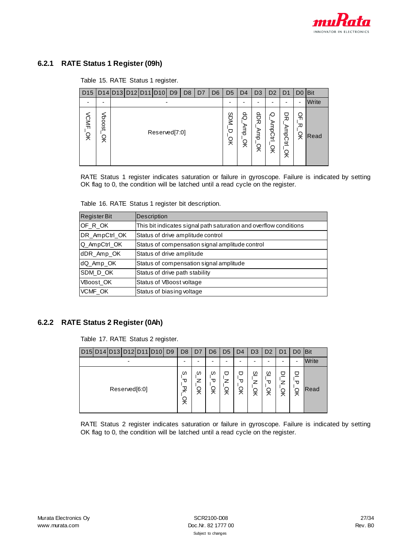

# <span id="page-26-0"></span>**6.2.1 RATE Status 1 Register (09h)**

#### Table 15. RATE Status 1 register.

| D <sub>15</sub> |             | D14 D13 D12 D11 D10 |               | D <sub>9</sub> | D8 | D7 | D <sub>6</sub> | D <sub>5</sub> | D <sub>4</sub> | D <sub>3</sub> | D <sub>2</sub>           | D1                | D <sub>0</sub> | <b>IBit</b> |
|-----------------|-------------|---------------------|---------------|----------------|----|----|----------------|----------------|----------------|----------------|--------------------------|-------------------|----------------|-------------|
|                 | ۰           |                     | ٠             |                |    |    |                | -              | ۰              |                | -                        | -                 | $\blacksquare$ | Write       |
| VCMF<br>ă       | Vboost<br>읒 |                     | Reserved[7:0] |                |    |    |                | SDM<br>⊓<br>읒  | စိ<br>흉<br>읒   | 읁<br>ई<br>읒    | O<br><b>AmpCtrl</b><br>읒 | 믓<br>AmpCtrl<br>잊 | 읶<br>观<br>ă    | Read        |

RATE Status 1 register indicates saturation or failure in gyroscope. Failure is indicated by setting OK flag to 0, the condition will be latched until a read cycle on the register.

Table 16. RATE Status 1 register bit description.

| <b>RegisterBit</b> | <b>Description</b>                                                |
|--------------------|-------------------------------------------------------------------|
| OF R OK            | This bit indicates signal path saturation and overflow conditions |
| DR_AmpCtrl_OK      | Status of drive amplitude control                                 |
| Q_AmpCtrl_OK       | Status of compensation signal amplitude control                   |
| dDR_Amp_OK         | Status of drive amplitude                                         |
| dQ_Amp_OK          | Status of compensation signal amplitude                           |
| SDM D OK           | Status of drive path stability                                    |
| VBoost OK          | Status of VBoost voltage                                          |
| VCMF_OK            | Status of biasing voltage                                         |

### <span id="page-26-1"></span>**6.2.2 RATE Status 2 Register (0Ah)**

Table 17. RATE Status 2 register.

|                          | D15 D14 D13 D12 D11 D10 |  |               |  |  | D <sub>9</sub> | D <sub>8</sub>   | D7                       | D6           | D5          | D4           | D3                       | D <sub>2</sub> | D1     | D <sub>0</sub> | <b>IBit</b> |
|--------------------------|-------------------------|--|---------------|--|--|----------------|------------------|--------------------------|--------------|-------------|--------------|--------------------------|----------------|--------|----------------|-------------|
| $\overline{\phantom{a}}$ |                         |  |               |  |  |                |                  | $\overline{\phantom{0}}$ | -            | -           | -            | $\overline{\phantom{0}}$ | -              |        |                | Write       |
|                          |                         |  | Reserved[6:0] |  |  |                | ഗ<br>τ<br>꽂<br>읒 | ω<br>읒                   | ഗ<br>᠊ᠣ<br>읒 | U<br>z<br>읒 | ヮ<br>᠊ᠣ<br>읒 | ഗ<br>z<br>읒              | ഗ<br>᠊ᠣ<br>읒   | □<br>읒 | □<br>᠊ᠣ<br>읒   | Read        |

RATE Status 2 register indicates saturation or failure in gyroscope. Failure is indicated by setting OK flag to 0, the condition will be latched until a read cycle on the register.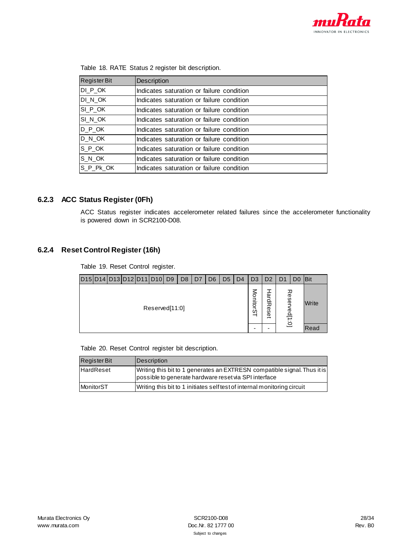

| <b>RegisterBit</b>      | <b>Description</b>                        |
|-------------------------|-------------------------------------------|
| DI POK                  | Indicates saturation or failure condition |
| DI_N_OK                 | Indicates saturation or failure condition |
| SI P OK                 | Indicates saturation or failure condition |
| SI N OK                 | Indicates saturation or failure condition |
| $D_P$ <sub>_C</sub> K   | Indicates saturation or failure condition |
| D_N_OK                  | Indicates saturation or failure condition |
| $S_P$ <sub>_</sub> $OK$ | Indicates saturation or failure condition |
| S_N_OK                  | Indicates saturation or failure condition |
| S_P_Pk_OK               | Indicates saturation or failure condition |

|  |  |  | Table 18. RATE Status 2 register bit description. |
|--|--|--|---------------------------------------------------|
|--|--|--|---------------------------------------------------|

# <span id="page-27-0"></span>**6.2.3 ACC Status Register (0Fh)**

ACC Status register indicates accelerometer related failures since the accelerometer functionality is powered down in SCR2100-D08.

### <span id="page-27-1"></span>**6.2.4 Reset Control Register (16h)**

Table 19. Reset Control register.

|  |  | D15 D14 D13 D12 D11 D10 D9 | D <sub>8</sub> | D7 | D <sub>6</sub> | D <sub>5</sub> | D <sub>4</sub> | D <sub>3</sub>  | D <sub>2</sub>                  | D1               | D <sub>0</sub> | <b>IBit</b> |
|--|--|----------------------------|----------------|----|----------------|----------------|----------------|-----------------|---------------------------------|------------------|----------------|-------------|
|  |  | Reserved[11:0]             |                |    |                |                |                | <b>MonitorS</b> | ω<br>굽<br>观<br>Φ<br>ഗ<br>Φ<br>∸ | 观<br>ese<br>ea[ı |                | Write       |
|  |  |                            |                |    |                |                |                |                 |                                 | $\dot{\Xi}$      |                | Read        |

Table 20. Reset Control register bit description.

| <b>Register Bit</b> | Description                                                                                                                       |
|---------------------|-----------------------------------------------------------------------------------------------------------------------------------|
| <b>HardReset</b>    | Writing this bit to 1 generates an EXTRESN compatible signal. Thus it is<br>possible to generate hardware reset via SPI interface |
| MonitorST           | Writing this bit to 1 initiates self test of internal monitoring circuit                                                          |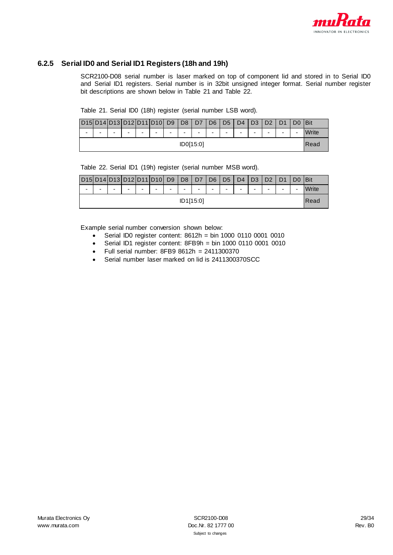

### <span id="page-28-1"></span><span id="page-28-0"></span>**6.2.5 Serial ID0 and Serial ID1 Registers (18h and 19h)**

SCR2100-D08 serial number is laser marked on top of component lid and stored in to Serial ID0 and Serial ID1 registers. Serial number is in 32bit unsigned integer format. Serial number register bit descriptions are shown below in [Table 21](#page-28-1) and [Table 22.](#page-28-2)

|  |  |  | Table 21. Serial ID0 (18h) register (serial number LSB word). |
|--|--|--|---------------------------------------------------------------|
|--|--|--|---------------------------------------------------------------|

|           | D15D14D13D12D11D10L |   |                          |  |   | D <sub>9</sub> | D <sub>8</sub> | D <sub>7</sub> | D <sub>6</sub> | D <sub>5</sub> | D <sub>4</sub> | D <sub>3</sub>           | D2 |   | <b>I</b> Bit |
|-----------|---------------------|---|--------------------------|--|---|----------------|----------------|----------------|----------------|----------------|----------------|--------------------------|----|---|--------------|
| -         | -                   | - | $\overline{\phantom{0}}$ |  | - | -              | -              | -              | -              | -              | -              | $\overline{\phantom{0}}$ | -  | - | Write        |
| ID0[15:0] |                     |   |                          |  |   |                |                |                |                | Read           |                |                          |    |   |              |

Table 22. Serial ID1 (19h) register (serial number MSB word).

<span id="page-28-2"></span>

| D15                      |           |   | D14D13D12D11D10L         |   |   | D <sub>9</sub>           | D <sub>8</sub> | D7 | D <sub>6</sub> | D <sub>5</sub> | D <sub>4</sub> | D2                       | no. |   |   | <b>IBit</b>  |
|--------------------------|-----------|---|--------------------------|---|---|--------------------------|----------------|----|----------------|----------------|----------------|--------------------------|-----|---|---|--------------|
| $\overline{\phantom{0}}$ | -         | - | $\overline{\phantom{0}}$ | - | - | $\overline{\phantom{0}}$ | -              | -  | -              | -              | -              | $\overline{\phantom{0}}$ | -   | - | - | <b>Vrite</b> |
|                          | ID1[15:0] |   |                          |   |   |                          |                |    |                |                | Read           |                          |     |   |   |              |

Example serial number conversion shown below:

- Serial ID0 register content: 8612h = bin 1000 0110 0001 0010
- Serial ID1 register content:  $8FBBh = bin 1000 0110 0001 0010$ <br>• Full serial number:  $8FBB 8612h = 2411300370$
- Full serial number: 8FB9 8612h = 2411300370
- Serial number laser marked on lid is 2411300370SCC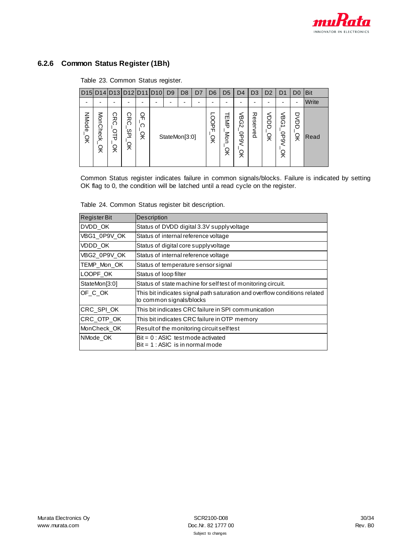

# <span id="page-29-0"></span>**6.2.6 Common Status Register (1Bh)**

Table 23. Common Status register.

|                   |               |                            | D15 D14 D13 D12 D11 D10    |             | D <sub>9</sub> | D <sub>8</sub> | D7 | D <sub>6</sub>   | D <sub>5</sub>  | D4                          | D <sub>3</sub>      | D <sub>2</sub>   | D1                            | D0               | <b>Bit</b> |
|-------------------|---------------|----------------------------|----------------------------|-------------|----------------|----------------|----|------------------|-----------------|-----------------------------|---------------------|------------------|-------------------------------|------------------|------------|
|                   |               |                            |                            |             |                |                |    |                  |                 |                             |                     |                  | -                             | ۰                | Write      |
| <b>NMode</b><br>ă | MonCheck<br>ă | ဂ<br>ᄒ<br>റ<br>이<br>나<br>ă | ဂ<br>ᄒ<br>Ō<br>დ<br>ს<br>읒 | 읶<br>റ<br>ă | StateMon[3:0]  |                |    | <b>OOPF</b><br>ă | EMP<br>Mon<br>잊 | ω<br>Ğ<br>N<br>9<br>Gd<br>읒 | 观<br>Φ<br>96<br>ked | ξ<br>O<br>Ó<br>읒 | <<br>ය<br>ග<br>∸<br>OP9V<br>읒 | D<br>S<br>Ó<br>잊 | Read       |

Common Status register indicates failure in common signals/blocks. Failure is indicated by setting OK flag to 0, the condition will be latched until a read cycle on the register.

Table 24. Common Status register bit description.

| Register Bit  | Description                                                                                           |
|---------------|-------------------------------------------------------------------------------------------------------|
| DVDD_OK       | Status of DVDD digital 3.3V supply voltage                                                            |
| VBG1_0P9V_OK  | Status of internal reference voltage                                                                  |
| VDDD_OK       | Status of digital core supply voltage                                                                 |
| VBG2_0P9V_OK  | Status of internal reference voltage                                                                  |
| TEMP_Mon_OK   | Status of temperature sensor signal                                                                   |
| LOOPF_OK      | Status of loop filter                                                                                 |
| StateMon[3:0] | Status of state machine for self test of monitoring circuit.                                          |
| OF C OK       | This bit indicates signal path saturation and overflow conditions related<br>to common signals/blocks |
| CRC_SPI_OK    | This bit indicates CRC failure in SPI communication                                                   |
| CRC_OTP_OK    | This bit indicates CRC failure in OTP memory                                                          |
| MonCheck_OK   | Result of the monitoring circuit self test                                                            |
| NMode OK      | $Bit = 0$ : ASIC test mode activated<br>$Bit = 1$ : ASIC is in normal mode                            |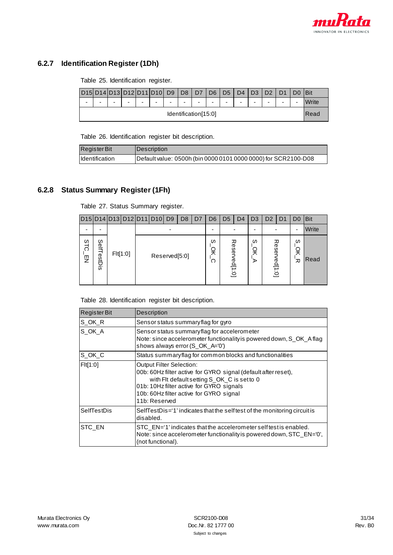

# <span id="page-30-0"></span>**6.2.7 Identification Register (1Dh)**

Table 25. Identification register.

|                          | D15 D14 D13 |                          | D12D11D10D9              |                          |                          |   | $\overline{D8}$          | D <sub>7</sub> | D <sub>6</sub> | D <sub>5</sub> | D <sub>4</sub>           | D <sub>3</sub>           | D <sub>2</sub> |   |                          | <b>Bit</b> |
|--------------------------|-------------|--------------------------|--------------------------|--------------------------|--------------------------|---|--------------------------|----------------|----------------|----------------|--------------------------|--------------------------|----------------|---|--------------------------|------------|
| $\overline{\phantom{a}}$ | -           | $\overline{\phantom{0}}$ | $\overline{\phantom{0}}$ | $\overline{\phantom{0}}$ | $\overline{\phantom{0}}$ | - | $\overline{\phantom{0}}$ | ۰              | -              | ۰              | $\overline{\phantom{0}}$ | $\overline{\phantom{0}}$ | -              | - | $\overline{\phantom{0}}$ | Vrite      |
| Identification[15:0]     |             |                          |                          |                          |                          |   |                          |                |                |                | Read                     |                          |                |   |                          |            |

Table 26. Identification register bit description.

| <b>Register Bit</b> | Description                                                    |
|---------------------|----------------------------------------------------------------|
| Identification      | Default value: 0500h (bin 0000 0101 0000 0000) for SCR2100-D08 |

### <span id="page-30-1"></span>**6.2.8 Status Summary Register (1Fh)**

Table 27. Status Summary register.

|                          |                         |          |  | D15 D14 D13 D12 D11 D10 D9 |               | D <sub>8</sub> | D <sub>7</sub> | D <sub>6</sub> | D <sub>5</sub> | D <sub>4</sub> | D <sub>3</sub> | D <sub>2</sub>             | D1 | D <sub>0</sub> | <b>Bit</b> |
|--------------------------|-------------------------|----------|--|----------------------------|---------------|----------------|----------------|----------------|----------------|----------------|----------------|----------------------------|----|----------------|------------|
| $\overline{\phantom{0}}$ | -                       |          |  |                            |               |                | -              |                |                | -              |                |                            | ۰  | Write          |            |
| ဖ<br>ನ<br>$\bar{z}$      | SelfT<br><b>TestDis</b> | Flt[1:0] |  |                            | Reserved[5:0] |                |                | ဖ<br>읒<br>റ    | lese)          | 观<br>/ed[1:0]  | S<br>읒<br>⋗    | ese<br>ed[1<br>$\dot{\Xi}$ | ᅎ  | ဖ<br>观         | Read       |

Table 28. Identification register bit description.

| <b>Register Bit</b> | <b>Description</b>                                                                                                                                                                                                                                       |
|---------------------|----------------------------------------------------------------------------------------------------------------------------------------------------------------------------------------------------------------------------------------------------------|
| S OK R              | Sensor status summary flag for gyro                                                                                                                                                                                                                      |
| SOK A               | Sensor status summary flag for accelerometer<br>Note: since accelerometer functionality is powered down, S_OK_A flag<br>shows always error (S_OK_A='0')                                                                                                  |
| S OK C              | Status summary flag for common blocks and functionalities                                                                                                                                                                                                |
| F1f1:01             | <b>Output Filter Selection:</b><br>00b: 60Hz filter active for GYRO signal (default after reset),<br>with Flt default setting S_OK_C is set to 0<br>01b: 10Hz filter active for GYRO signals<br>10b: 60Hz filter active for GYRO signal<br>11b: Reserved |
| SelfTestDis         | SelfTestDis='1' indicates that the self test of the monitoring circuit is<br>disabled.                                                                                                                                                                   |
| STC_EN              | STC EN='1' indicates that the accelerometer self test is enabled.<br>Note: since accelerometer functionality is powered down, STC_EN='0',<br>(not functional).                                                                                           |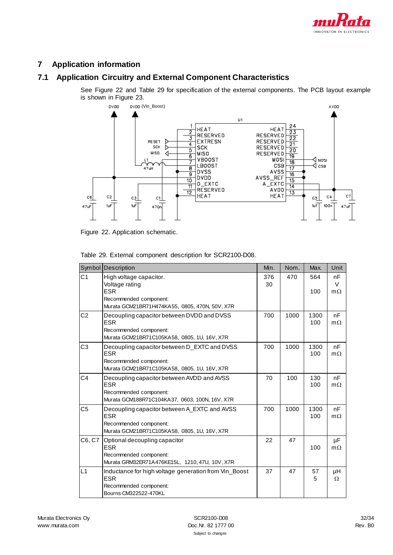

# <span id="page-31-0"></span>**7 Application information**

# <span id="page-31-1"></span>**7.1 Application Circuitry and External Component Characteristics**

See [Figure 22](#page-31-2) an[d Table 29](#page-31-3) for specification of the external components. The PCB layout example is shown in [Figure 23.](#page-32-1)



<span id="page-31-2"></span>Figure 22. Application schematic.

|                | Symbol Description                                                                                                                   | Min.      | Nom. | Max.        | Unit                      |
|----------------|--------------------------------------------------------------------------------------------------------------------------------------|-----------|------|-------------|---------------------------|
| C <sub>1</sub> | High voltage capacitor.<br>Voltage rating<br><b>ESR</b><br>Recommended component:<br>Murata GCM21BR71H474KA55, 0805, 470N, 50V, X7R  | 376<br>30 | 470  | 564<br>100  | nF<br>$\vee$<br>$m\Omega$ |
| C <sub>2</sub> | Decoupling capacitor between DVDD and DVSS<br><b>ESR</b><br>Recommended component:<br>Murata GCM21BR71C105KA58, 0805, 1U, 16V, X7R   | 700       | 1000 | 1300<br>100 | nF<br>$m\Omega$           |
| C <sub>3</sub> | Decoupling capacitor between D_EXTC and DVSS<br><b>ESR</b><br>Recommended component:<br>Murata GCM21BR71C105KA58, 0805, 1U, 16V, X7R | 700       | 1000 | 1300<br>100 | nF<br>$m\Omega$           |
| C4             | Decoupling capacitor between AVDD and AVSS<br><b>ESR</b><br>Recommended component:<br>Murata GCM188R71C104KA37, 0603, 100N, 16V, X7R | 70        | 100  | 130<br>100  | nF<br>$m\Omega$           |
| C <sub>5</sub> | Decoupling capacitor between A_EXTC and AVSS<br><b>ESR</b><br>Recommended component:<br>Murata GCM21BR71C105KA58, 0805, 1U, 16V, X7R | 700       | 1000 | 1300<br>100 | nF<br>$m\Omega$           |
| C6, C7         | Optional decoupling capacitor<br><b>ESR</b><br>Recommended component:<br>Murata GRM32ER71A476KE15L, 1210, 47U, 10V, X7R              | 22        | 47   | 100         | $\mu$ F<br>$m\Omega$      |
| L1             | Inductance for high voltage generation from Vin_Boost<br><b>ESR</b><br>Recommended component:<br>Bourns CM322522-470KL               | 37        | 47   | 57<br>5     | μH<br>$\Omega$            |

<span id="page-31-3"></span>Table 29. External component description for SCR2100-D08.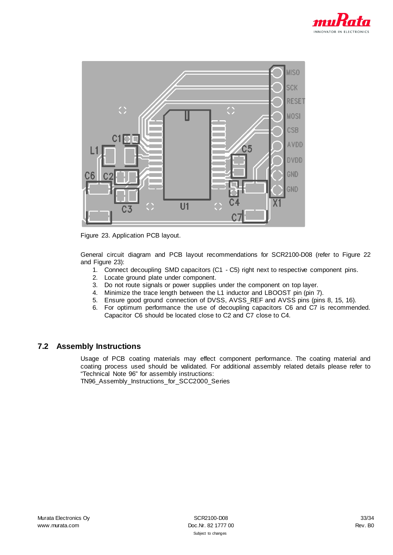



<span id="page-32-1"></span>Figure 23. Application PCB layout.

General circuit diagram and PCB layout recommendations for SCR2100-D08 (refer to [Figure 22](#page-31-2) and [Figure 23\):](#page-32-1)

- 1. Connect decoupling SMD capacitors (C1 C5) right next to respective component pins.
- 2. Locate ground plate under component.
- 3. Do not route signals or power supplies under the component on top layer.
- 4. Minimize the trace length between the L1 inductor and LBOOST pin (pin 7).
- 5. Ensure good ground connection of DVSS, AVSS\_REF and AVSS pins (pins 8, 15, 16).
- 6. For optimum performance the use of decoupling capacitors C6 and C7 is recommended. Capacitor C6 should be located close to C2 and C7 close to C4.

### <span id="page-32-0"></span>**7.2 Assembly Instructions**

Usage of PCB coating materials may effect component performance. The coating material and coating process used should be validated. For additional assembly related details please refer to "Technical Note 96" for assembly instructions:

TN96\_Assembly\_Instructions\_for\_SCC2000\_Series